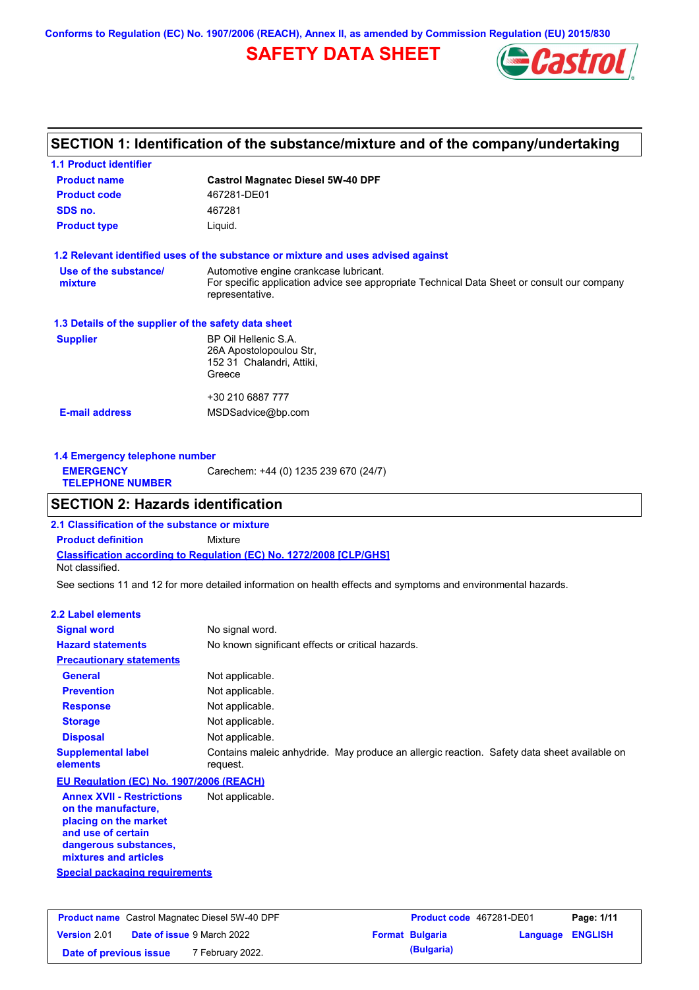**Conforms to Regulation (EC) No. 1907/2006 (REACH), Annex II, as amended by Commission Regulation (EU) 2015/830**

## **SAFETY DATA SHEET**



## **SECTION 1: Identification of the substance/mixture and of the company/undertaking**

| <b>1.1 Product identifier</b>                        |                                                                                                                                                          |
|------------------------------------------------------|----------------------------------------------------------------------------------------------------------------------------------------------------------|
| <b>Product name</b>                                  | <b>Castrol Magnatec Diesel 5W-40 DPF</b>                                                                                                                 |
| <b>Product code</b>                                  | 467281-DE01                                                                                                                                              |
| SDS no.                                              | 467281                                                                                                                                                   |
| <b>Product type</b>                                  | Liquid.                                                                                                                                                  |
|                                                      | 1.2 Relevant identified uses of the substance or mixture and uses advised against                                                                        |
| Use of the substance/<br>mixture                     | Automotive engine crankcase lubricant.<br>For specific application advice see appropriate Technical Data Sheet or consult our company<br>representative. |
| 1.3 Details of the supplier of the safety data sheet |                                                                                                                                                          |
| <b>Supplier</b>                                      | BP Oil Hellenic S.A.<br>26A Apostolopoulou Str.<br>152 31 Chalandri, Attiki,<br>Greece                                                                   |
| <b>E-mail address</b>                                | +30 210 6887 777<br>MSDSadvice@bp.com                                                                                                                    |

| 1.4 Emergency telephone number              |                                       |
|---------------------------------------------|---------------------------------------|
| <b>EMERGENCY</b><br><b>TELEPHONE NUMBER</b> | Carechem: +44 (0) 1235 239 670 (24/7) |

## **SECTION 2: Hazards identification**

**Classification according to Regulation (EC) No. 1272/2008 [CLP/GHS] 2.1 Classification of the substance or mixture Product definition** Mixture Not classified.

See sections 11 and 12 for more detailed information on health effects and symptoms and environmental hazards.

#### **2.2 Label elements**

| <b>Signal word</b>                                                                                                                                       | No signal word.                                                                                         |
|----------------------------------------------------------------------------------------------------------------------------------------------------------|---------------------------------------------------------------------------------------------------------|
| <b>Hazard statements</b>                                                                                                                                 | No known significant effects or critical hazards.                                                       |
| <b>Precautionary statements</b>                                                                                                                          |                                                                                                         |
| General                                                                                                                                                  | Not applicable.                                                                                         |
| <b>Prevention</b>                                                                                                                                        | Not applicable.                                                                                         |
| <b>Response</b>                                                                                                                                          | Not applicable.                                                                                         |
| <b>Storage</b>                                                                                                                                           | Not applicable.                                                                                         |
| <b>Disposal</b>                                                                                                                                          | Not applicable.                                                                                         |
| <b>Supplemental label</b><br>elements                                                                                                                    | Contains maleic anhydride. May produce an allergic reaction. Safety data sheet available on<br>request. |
| EU Regulation (EC) No. 1907/2006 (REACH)                                                                                                                 |                                                                                                         |
| <b>Annex XVII - Restrictions</b><br>on the manufacture,<br>placing on the market<br>and use of certain<br>dangerous substances,<br>mixtures and articles | Not applicable.                                                                                         |
| Special packaging requirements                                                                                                                           |                                                                                                         |

| <b>Product name</b> Castrol Magnatec Diesel 5W-40 DPF |  | <b>Product code</b> 467281-DE01   |  | Page: 1/11             |                         |  |
|-------------------------------------------------------|--|-----------------------------------|--|------------------------|-------------------------|--|
| Version 2.01                                          |  | <b>Date of issue 9 March 2022</b> |  | <b>Format Bulgaria</b> | <b>Language ENGLISH</b> |  |
| Date of previous issue                                |  | <sup>7</sup> February 2022.       |  | (Bulgaria)             |                         |  |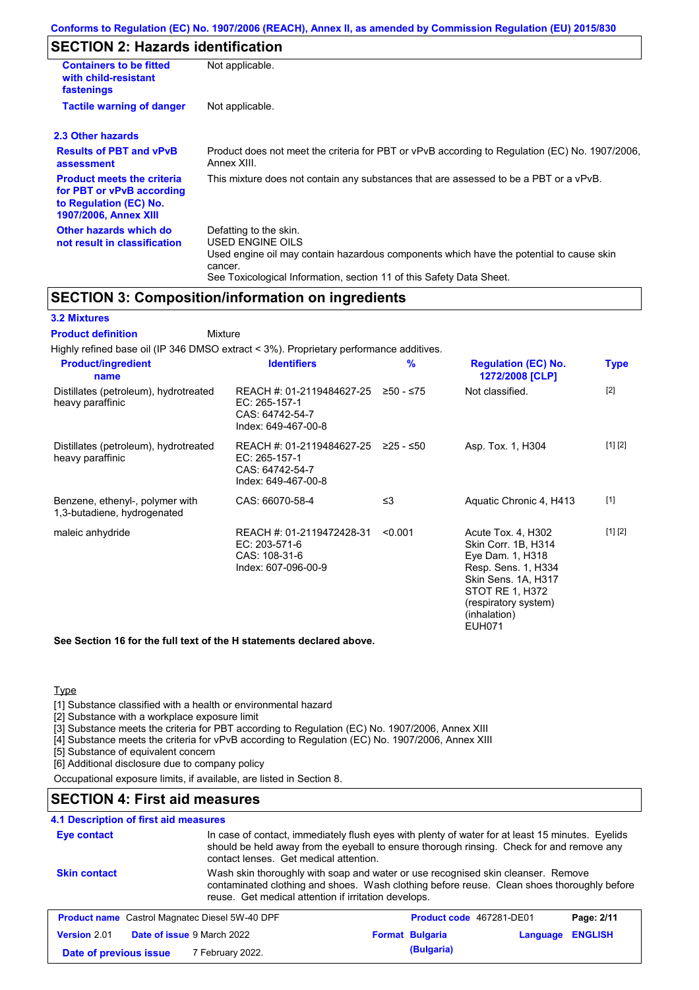## **SECTION 2: Hazards identification**

| <b>Containers to be fitted</b><br>with child-resistant<br>fastenings                                                     | Not applicable.                                                                                                                                                                                                          |
|--------------------------------------------------------------------------------------------------------------------------|--------------------------------------------------------------------------------------------------------------------------------------------------------------------------------------------------------------------------|
| <b>Tactile warning of danger</b>                                                                                         | Not applicable.                                                                                                                                                                                                          |
| 2.3 Other hazards                                                                                                        |                                                                                                                                                                                                                          |
| <b>Results of PBT and vPvB</b><br>assessment                                                                             | Product does not meet the criteria for PBT or vPvB according to Regulation (EC) No. 1907/2006.<br>Annex XIII.                                                                                                            |
| <b>Product meets the criteria</b><br>for PBT or vPvB according<br>to Regulation (EC) No.<br><b>1907/2006, Annex XIII</b> | This mixture does not contain any substances that are assessed to be a PBT or a vPvB.                                                                                                                                    |
| Other hazards which do<br>not result in classification                                                                   | Defatting to the skin.<br>USED ENGINE OILS<br>Used engine oil may contain hazardous components which have the potential to cause skin<br>cancer.<br>See Toxicological Information, section 11 of this Safety Data Sheet. |

## **SECTION 3: Composition/information on ingredients**

#### **3.2 Mixtures**

**Mixture Product definition**

| Highly refined base oil (IP 346 DMSO extract < 3%). Proprietary performance additives. |                                                                                                            |               |                                                                                                                                                                                  |             |
|----------------------------------------------------------------------------------------|------------------------------------------------------------------------------------------------------------|---------------|----------------------------------------------------------------------------------------------------------------------------------------------------------------------------------|-------------|
| <b>Product/ingredient</b><br>name                                                      | <b>Identifiers</b>                                                                                         | $\frac{9}{6}$ | <b>Regulation (EC) No.</b><br>1272/2008 [CLP]                                                                                                                                    | <b>Type</b> |
| Distillates (petroleum), hydrotreated<br>heavy paraffinic                              | REACH #: 01-2119484627-25 $\geq$ 50 - $\leq$ 75<br>EC: 265-157-1<br>CAS: 64742-54-7<br>Index: 649-467-00-8 |               | Not classified.                                                                                                                                                                  | $[2]$       |
| Distillates (petroleum), hydrotreated<br>heavy paraffinic                              | REACH #: 01-2119484627-25 ≥25 - ≤50<br>EC: 265-157-1<br>CAS: 64742-54-7<br>Index: 649-467-00-8             |               | Asp. Tox. 1, H304                                                                                                                                                                | [1] [2]     |
| Benzene, ethenyl-, polymer with<br>1,3-butadiene, hydrogenated                         | CAS: 66070-58-4                                                                                            | ≤3            | Aquatic Chronic 4, H413                                                                                                                                                          | $[1]$       |
| maleic anhydride                                                                       | REACH #: 01-2119472428-31<br>EC: 203-571-6<br>CAS: 108-31-6<br>Index: 607-096-00-9                         | < 0.001       | Acute Tox. 4, H302<br>Skin Corr. 1B, H314<br>Eye Dam. 1, H318<br>Resp. Sens. 1, H334<br>Skin Sens. 1A, H317<br>STOT RE 1, H372<br>(respiratory system)<br>(inhalation)<br>EUH071 | [1] [2]     |

**See Section 16 for the full text of the H statements declared above.**

#### **Type**

[1] Substance classified with a health or environmental hazard

[2] Substance with a workplace exposure limit

[3] Substance meets the criteria for PBT according to Regulation (EC) No. 1907/2006, Annex XIII

[4] Substance meets the criteria for vPvB according to Regulation (EC) No. 1907/2006, Annex XIII

[5] Substance of equivalent concern

[6] Additional disclosure due to company policy

Occupational exposure limits, if available, are listed in Section 8.

## **SECTION 4: First aid measures**

## **4.1 Description of first aid measures**

| 4. I Description of first ald measures |                                                       |                                                                                                                                                                                               |          |                |
|----------------------------------------|-------------------------------------------------------|-----------------------------------------------------------------------------------------------------------------------------------------------------------------------------------------------|----------|----------------|
| <b>Eye contact</b>                     | contact lenses. Get medical attention.                | In case of contact, immediately flush eyes with plenty of water for at least 15 minutes. Eyelids<br>should be held away from the eyeball to ensure thorough rinsing. Check for and remove any |          |                |
| <b>Skin contact</b>                    | reuse. Get medical attention if irritation develops.  | Wash skin thoroughly with soap and water or use recognised skin cleanser. Remove<br>contaminated clothing and shoes. Wash clothing before reuse. Clean shoes thoroughly before                |          |                |
|                                        | <b>Product name</b> Castrol Magnatec Diesel 5W-40 DPF | Product code 467281-DE01                                                                                                                                                                      |          | Page: 2/11     |
| Version 2.01                           | Date of issue 9 March 2022                            | <b>Format Bulgaria</b>                                                                                                                                                                        | Language | <b>ENGLISH</b> |
| Date of previous issue                 | 7 February 2022.                                      | (Bulgaria)                                                                                                                                                                                    |          |                |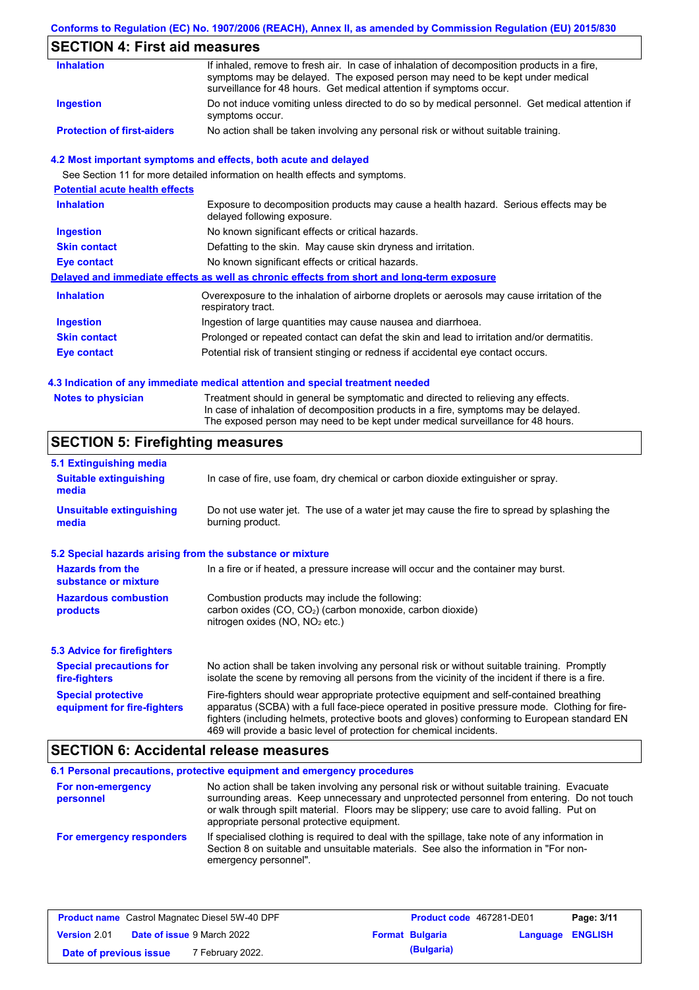### **Conforms to Regulation (EC) No. 1907/2006 (REACH), Annex II, as amended by Commission Regulation (EU) 2015/830**

## **SECTION 4: First aid measures**

| <b>Inhalation</b>                 | If inhaled, remove to fresh air. In case of inhalation of decomposition products in a fire,<br>symptoms may be delayed. The exposed person may need to be kept under medical<br>surveillance for 48 hours. Get medical attention if symptoms occur. |
|-----------------------------------|-----------------------------------------------------------------------------------------------------------------------------------------------------------------------------------------------------------------------------------------------------|
| <b>Ingestion</b>                  | Do not induce vomiting unless directed to do so by medical personnel. Get medical attention if<br>symptoms occur.                                                                                                                                   |
| <b>Protection of first-aiders</b> | No action shall be taken involving any personal risk or without suitable training.                                                                                                                                                                  |

#### **4.2 Most important symptoms and effects, both acute and delayed**

See Section 11 for more detailed information on health effects and symptoms.

| <b>Potential acute health effects</b> |                                                                                                                     |
|---------------------------------------|---------------------------------------------------------------------------------------------------------------------|
| <b>Inhalation</b>                     | Exposure to decomposition products may cause a health hazard. Serious effects may be<br>delayed following exposure. |
| <b>Ingestion</b>                      | No known significant effects or critical hazards.                                                                   |
| <b>Skin contact</b>                   | Defatting to the skin. May cause skin dryness and irritation.                                                       |
| <b>Eye contact</b>                    | No known significant effects or critical hazards.                                                                   |
|                                       | Delayed and immediate effects as well as chronic effects from short and long-term exposure                          |
| <b>Inhalation</b>                     | Overexposure to the inhalation of airborne droplets or aerosols may cause irritation of the<br>respiratory tract.   |
| <b>Ingestion</b>                      | Ingestion of large quantities may cause nausea and diarrhoea.                                                       |
| <b>Skin contact</b>                   | Prolonged or repeated contact can defat the skin and lead to irritation and/or dermatitis.                          |
| Eye contact                           | Potential risk of transient stinging or redness if accidental eye contact occurs.                                   |
|                                       |                                                                                                                     |

#### **4.3 Indication of any immediate medical attention and special treatment needed**

| Notes to physician | Treatment should in general be symptomatic and directed to relieving any effects.   |
|--------------------|-------------------------------------------------------------------------------------|
|                    | In case of inhalation of decomposition products in a fire, symptoms may be delayed. |
|                    | The exposed person may need to be kept under medical surveillance for 48 hours.     |

## **SECTION 5: Firefighting measures**

| 5.1 Extinguishing media                                   |                                                                                                                                                                                                                                                                                                                                                                   |
|-----------------------------------------------------------|-------------------------------------------------------------------------------------------------------------------------------------------------------------------------------------------------------------------------------------------------------------------------------------------------------------------------------------------------------------------|
| <b>Suitable extinguishing</b><br>media                    | In case of fire, use foam, dry chemical or carbon dioxide extinguisher or spray.                                                                                                                                                                                                                                                                                  |
| <b>Unsuitable extinguishing</b><br>media                  | Do not use water jet. The use of a water jet may cause the fire to spread by splashing the<br>burning product.                                                                                                                                                                                                                                                    |
| 5.2 Special hazards arising from the substance or mixture |                                                                                                                                                                                                                                                                                                                                                                   |
| <b>Hazards from the</b><br>substance or mixture           | In a fire or if heated, a pressure increase will occur and the container may burst.                                                                                                                                                                                                                                                                               |
| <b>Hazardous combustion</b><br>products                   | Combustion products may include the following:<br>carbon oxides (CO, CO <sub>2</sub> ) (carbon monoxide, carbon dioxide)<br>nitrogen oxides ( $NO$ , $NO2$ etc.)                                                                                                                                                                                                  |
| 5.3 Advice for firefighters                               |                                                                                                                                                                                                                                                                                                                                                                   |
| <b>Special precautions for</b><br>fire-fighters           | No action shall be taken involving any personal risk or without suitable training. Promptly<br>isolate the scene by removing all persons from the vicinity of the incident if there is a fire.                                                                                                                                                                    |
| <b>Special protective</b><br>equipment for fire-fighters  | Fire-fighters should wear appropriate protective equipment and self-contained breathing<br>apparatus (SCBA) with a full face-piece operated in positive pressure mode. Clothing for fire-<br>fighters (including helmets, protective boots and gloves) conforming to European standard EN<br>469 will provide a basic level of protection for chemical incidents. |

### **SECTION 6: Accidental release measures**

|                                | 6.1 Personal precautions, protective equipment and emergency procedures                                                                                                                                                                                                                                                             |
|--------------------------------|-------------------------------------------------------------------------------------------------------------------------------------------------------------------------------------------------------------------------------------------------------------------------------------------------------------------------------------|
| For non-emergency<br>personnel | No action shall be taken involving any personal risk or without suitable training. Evacuate<br>surrounding areas. Keep unnecessary and unprotected personnel from entering. Do not touch<br>or walk through spilt material. Floors may be slippery; use care to avoid falling. Put on<br>appropriate personal protective equipment. |
| For emergency responders       | If specialised clothing is required to deal with the spillage, take note of any information in<br>Section 8 on suitable and unsuitable materials. See also the information in "For non-<br>emergency personnel".                                                                                                                    |

| <b>Product name</b> Castrol Magnatec Diesel 5W-40 DPF |  | Product code 467281-DE01          |  | Page: 3/11             |                  |  |
|-------------------------------------------------------|--|-----------------------------------|--|------------------------|------------------|--|
| <b>Version 2.01</b>                                   |  | <b>Date of issue 9 March 2022</b> |  | <b>Format Bulgaria</b> | Language ENGLISH |  |
| Date of previous issue                                |  | 7 February 2022.                  |  | (Bulgaria)             |                  |  |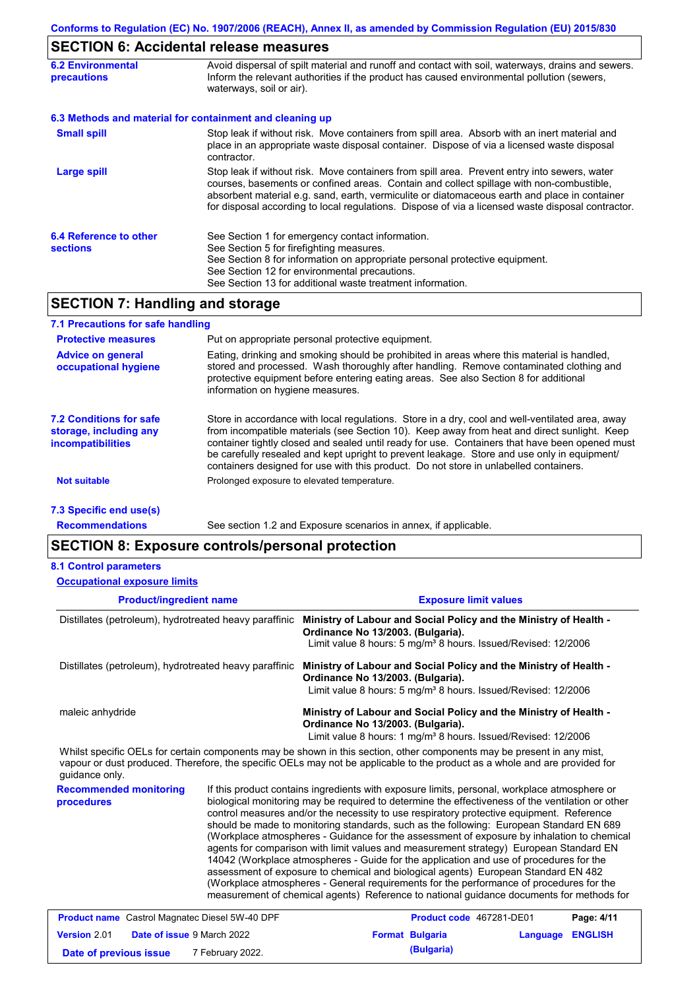### **SECTION 6: Accidental release measures**

| <b>6.2 Environmental</b><br><b>precautions</b> | Avoid dispersal of spilt material and runoff and contact with soil, waterways, drains and sewers.<br>Inform the relevant authorities if the product has caused environmental pollution (sewers,<br>waterways, soil or air).                                                                                                                                                                    |
|------------------------------------------------|------------------------------------------------------------------------------------------------------------------------------------------------------------------------------------------------------------------------------------------------------------------------------------------------------------------------------------------------------------------------------------------------|
|                                                | 6.3 Methods and material for containment and cleaning up                                                                                                                                                                                                                                                                                                                                       |
| <b>Small spill</b>                             | Stop leak if without risk. Move containers from spill area. Absorb with an inert material and<br>place in an appropriate waste disposal container. Dispose of via a licensed waste disposal<br>contractor.                                                                                                                                                                                     |
| <b>Large spill</b>                             | Stop leak if without risk. Move containers from spill area. Prevent entry into sewers, water<br>courses, basements or confined areas. Contain and collect spillage with non-combustible,<br>absorbent material e.g. sand, earth, vermiculite or diatomaceous earth and place in container<br>for disposal according to local regulations. Dispose of via a licensed waste disposal contractor. |
| 6.4 Reference to other<br><b>sections</b>      | See Section 1 for emergency contact information.<br>See Section 5 for firefighting measures.<br>See Section 8 for information on appropriate personal protective equipment.<br>See Section 12 for environmental precautions.<br>See Section 13 for additional waste treatment information.                                                                                                     |

### **SECTION 7: Handling and storage**

| 7.1 Precautions for safe handling                                             |                                                                                                                                                                                                                                                                                                                                                                                                                                                                                          |
|-------------------------------------------------------------------------------|------------------------------------------------------------------------------------------------------------------------------------------------------------------------------------------------------------------------------------------------------------------------------------------------------------------------------------------------------------------------------------------------------------------------------------------------------------------------------------------|
| <b>Protective measures</b>                                                    | Put on appropriate personal protective equipment.                                                                                                                                                                                                                                                                                                                                                                                                                                        |
| <b>Advice on general</b><br>occupational hygiene                              | Eating, drinking and smoking should be prohibited in areas where this material is handled,<br>stored and processed. Wash thoroughly after handling. Remove contaminated clothing and<br>protective equipment before entering eating areas. See also Section 8 for additional<br>information on hygiene measures.                                                                                                                                                                         |
| 7.2 Conditions for safe<br>storage, including any<br><i>incompatibilities</i> | Store in accordance with local requlations. Store in a dry, cool and well-ventilated area, away<br>from incompatible materials (see Section 10). Keep away from heat and direct sunlight. Keep<br>container tightly closed and sealed until ready for use. Containers that have been opened must<br>be carefully resealed and kept upright to prevent leakage. Store and use only in equipment/<br>containers designed for use with this product. Do not store in unlabelled containers. |
| Not suitable                                                                  | Prolonged exposure to elevated temperature.                                                                                                                                                                                                                                                                                                                                                                                                                                              |
| 7.3 Specific end use(s)                                                       |                                                                                                                                                                                                                                                                                                                                                                                                                                                                                          |

**Recommendations**

See section 1.2 and Exposure scenarios in annex, if applicable.

### **SECTION 8: Exposure controls/personal protection**

|  | <b>8.1 Control parameters</b> |
|--|-------------------------------|
|--|-------------------------------|

**Product/ingredient name Exposure limit values Recommended monitoring procedures** If this product contains ingredients with exposure limits, personal, workplace atmosphere or biological monitoring may be required to determine the effectiveness of the ventilation or other control measures and/or the necessity to use respiratory protective equipment. Reference should be made to monitoring standards, such as the following: European Standard EN 689 (Workplace atmospheres - Guidance for the assessment of exposure by inhalation to chemical agents for comparison with limit values and measurement strategy) European Standard EN 14042 (Workplace atmospheres - Guide for the application and use of procedures for the assessment of exposure to chemical and biological agents) European Standard EN 482 (Workplace atmospheres - General requirements for the performance of procedures for the Distillates (petroleum), hydrotreated heavy paraffinic **Ministry of Labour and Social Policy and the Ministry of Health - Ordinance No 13/2003. (Bulgaria).** Limit value 8 hours: 5 mg/m<sup>3</sup> 8 hours. Issued/Revised: 12/2006 Distillates (petroleum), hydrotreated heavy paraffinic **Ministry of Labour and Social Policy and the Ministry of Health - Ordinance No 13/2003. (Bulgaria).** Limit value 8 hours: 5 mg/m<sup>3</sup> 8 hours. Issued/Revised: 12/2006 maleic anhydride **Ministry of Labour and Social Policy and the Ministry of Health - Ordinance No 13/2003. (Bulgaria).** Limit value 8 hours: 1 mg/m<sup>3</sup> 8 hours. Issued/Revised: 12/2006 Whilst specific OELs for certain components may be shown in this section, other components may be present in any mist, vapour or dust produced. Therefore, the specific OELs may not be applicable to the product as a whole and are provided for guidance only. **Occupational exposure limits**

| <b>Product name</b> Castrol Magnatec Diesel 5W-40 DPF |  | Product code 467281-DE01          |  | Page: 4/11             |                         |  |
|-------------------------------------------------------|--|-----------------------------------|--|------------------------|-------------------------|--|
| <b>Version 2.01</b>                                   |  | <b>Date of issue 9 March 2022</b> |  | <b>Format Bulgaria</b> | <b>Language ENGLISH</b> |  |
| Date of previous issue                                |  | 7 February 2022.                  |  | (Bulgaria)             |                         |  |

measurement of chemical agents) Reference to national guidance documents for methods for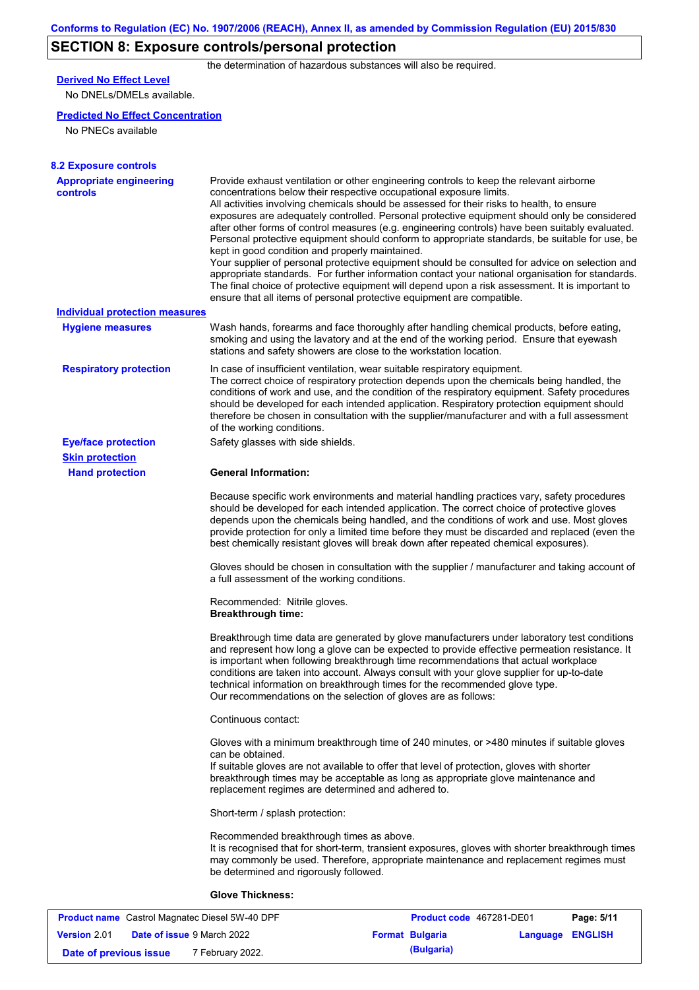# **SECTION 8: Exposure controls/personal protection**

the determination of hazardous substances will also be required.

## **Derived No Effect Level**

No DNELs/DMELs available.

#### **Predicted No Effect Concentration**

No PNECs available

| <b>8.2 Exposure controls</b>                      |                                                                                                                                                                                                                                                                                                                                                                                                                                                                                                                                                                                                                                                                                                                                                                                                                                                                                                                                                                                                         |
|---------------------------------------------------|---------------------------------------------------------------------------------------------------------------------------------------------------------------------------------------------------------------------------------------------------------------------------------------------------------------------------------------------------------------------------------------------------------------------------------------------------------------------------------------------------------------------------------------------------------------------------------------------------------------------------------------------------------------------------------------------------------------------------------------------------------------------------------------------------------------------------------------------------------------------------------------------------------------------------------------------------------------------------------------------------------|
| <b>Appropriate engineering</b><br><b>controls</b> | Provide exhaust ventilation or other engineering controls to keep the relevant airborne<br>concentrations below their respective occupational exposure limits.<br>All activities involving chemicals should be assessed for their risks to health, to ensure<br>exposures are adequately controlled. Personal protective equipment should only be considered<br>after other forms of control measures (e.g. engineering controls) have been suitably evaluated.<br>Personal protective equipment should conform to appropriate standards, be suitable for use, be<br>kept in good condition and properly maintained.<br>Your supplier of personal protective equipment should be consulted for advice on selection and<br>appropriate standards. For further information contact your national organisation for standards.<br>The final choice of protective equipment will depend upon a risk assessment. It is important to<br>ensure that all items of personal protective equipment are compatible. |
| <b>Individual protection measures</b>             |                                                                                                                                                                                                                                                                                                                                                                                                                                                                                                                                                                                                                                                                                                                                                                                                                                                                                                                                                                                                         |
| <b>Hygiene measures</b>                           | Wash hands, forearms and face thoroughly after handling chemical products, before eating,<br>smoking and using the lavatory and at the end of the working period. Ensure that eyewash<br>stations and safety showers are close to the workstation location.                                                                                                                                                                                                                                                                                                                                                                                                                                                                                                                                                                                                                                                                                                                                             |
| <b>Respiratory protection</b>                     | In case of insufficient ventilation, wear suitable respiratory equipment.<br>The correct choice of respiratory protection depends upon the chemicals being handled, the<br>conditions of work and use, and the condition of the respiratory equipment. Safety procedures<br>should be developed for each intended application. Respiratory protection equipment should<br>therefore be chosen in consultation with the supplier/manufacturer and with a full assessment<br>of the working conditions.                                                                                                                                                                                                                                                                                                                                                                                                                                                                                                   |
| <b>Eye/face protection</b>                        | Safety glasses with side shields.                                                                                                                                                                                                                                                                                                                                                                                                                                                                                                                                                                                                                                                                                                                                                                                                                                                                                                                                                                       |
| <b>Skin protection</b>                            |                                                                                                                                                                                                                                                                                                                                                                                                                                                                                                                                                                                                                                                                                                                                                                                                                                                                                                                                                                                                         |
| <b>Hand protection</b>                            | <b>General Information:</b>                                                                                                                                                                                                                                                                                                                                                                                                                                                                                                                                                                                                                                                                                                                                                                                                                                                                                                                                                                             |
|                                                   | Because specific work environments and material handling practices vary, safety procedures<br>should be developed for each intended application. The correct choice of protective gloves<br>depends upon the chemicals being handled, and the conditions of work and use. Most gloves<br>provide protection for only a limited time before they must be discarded and replaced (even the<br>best chemically resistant gloves will break down after repeated chemical exposures).                                                                                                                                                                                                                                                                                                                                                                                                                                                                                                                        |
|                                                   | Gloves should be chosen in consultation with the supplier / manufacturer and taking account of<br>a full assessment of the working conditions.                                                                                                                                                                                                                                                                                                                                                                                                                                                                                                                                                                                                                                                                                                                                                                                                                                                          |
|                                                   | Recommended: Nitrile gloves.<br><b>Breakthrough time:</b>                                                                                                                                                                                                                                                                                                                                                                                                                                                                                                                                                                                                                                                                                                                                                                                                                                                                                                                                               |
|                                                   | Breakthrough time data are generated by glove manufacturers under laboratory test conditions<br>and represent how long a glove can be expected to provide effective permeation resistance. It<br>is important when following breakthrough time recommendations that actual workplace<br>conditions are taken into account. Always consult with your glove supplier for up-to-date<br>technical information on breakthrough times for the recommended glove type.<br>Our recommendations on the selection of gloves are as follows:                                                                                                                                                                                                                                                                                                                                                                                                                                                                      |
|                                                   | Continuous contact:                                                                                                                                                                                                                                                                                                                                                                                                                                                                                                                                                                                                                                                                                                                                                                                                                                                                                                                                                                                     |
|                                                   | Gloves with a minimum breakthrough time of 240 minutes, or >480 minutes if suitable gloves<br>can be obtained.<br>If suitable gloves are not available to offer that level of protection, gloves with shorter<br>breakthrough times may be acceptable as long as appropriate glove maintenance and<br>replacement regimes are determined and adhered to.                                                                                                                                                                                                                                                                                                                                                                                                                                                                                                                                                                                                                                                |
|                                                   | Short-term / splash protection:                                                                                                                                                                                                                                                                                                                                                                                                                                                                                                                                                                                                                                                                                                                                                                                                                                                                                                                                                                         |
|                                                   | Recommended breakthrough times as above.<br>It is recognised that for short-term, transient exposures, gloves with shorter breakthrough times<br>may commonly be used. Therefore, appropriate maintenance and replacement regimes must<br>be determined and rigorously followed.                                                                                                                                                                                                                                                                                                                                                                                                                                                                                                                                                                                                                                                                                                                        |
|                                                   | <b>Glove Thickness:</b>                                                                                                                                                                                                                                                                                                                                                                                                                                                                                                                                                                                                                                                                                                                                                                                                                                                                                                                                                                                 |
|                                                   |                                                                                                                                                                                                                                                                                                                                                                                                                                                                                                                                                                                                                                                                                                                                                                                                                                                                                                                                                                                                         |

|                        | <b>Product name</b> Castrol Magnatec Diesel 5W-40 DPF | Product code 467281-DE01 |                         | Page: 5/11 |
|------------------------|-------------------------------------------------------|--------------------------|-------------------------|------------|
| <b>Version 2.01</b>    | <b>Date of issue 9 March 2022</b>                     | <b>Format Bulgaria</b>   | <b>Language ENGLISH</b> |            |
| Date of previous issue | 7 February 2022.                                      | (Bulgaria)               |                         |            |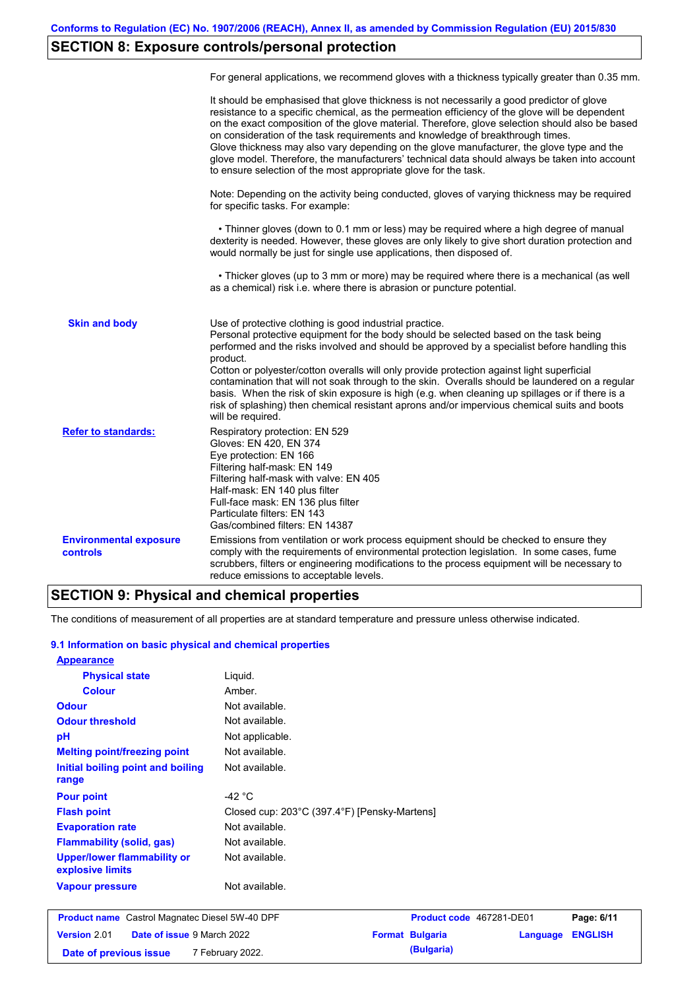## **SECTION 8: Exposure controls/personal protection**

|                                           | For general applications, we recommend gloves with a thickness typically greater than 0.35 mm.                                                                                                                                                                                                                                                                                                                                                                                                                                                                                                                                                                                        |
|-------------------------------------------|---------------------------------------------------------------------------------------------------------------------------------------------------------------------------------------------------------------------------------------------------------------------------------------------------------------------------------------------------------------------------------------------------------------------------------------------------------------------------------------------------------------------------------------------------------------------------------------------------------------------------------------------------------------------------------------|
|                                           | It should be emphasised that glove thickness is not necessarily a good predictor of glove<br>resistance to a specific chemical, as the permeation efficiency of the glove will be dependent<br>on the exact composition of the glove material. Therefore, glove selection should also be based<br>on consideration of the task requirements and knowledge of breakthrough times.<br>Glove thickness may also vary depending on the glove manufacturer, the glove type and the<br>glove model. Therefore, the manufacturers' technical data should always be taken into account<br>to ensure selection of the most appropriate glove for the task.                                     |
|                                           | Note: Depending on the activity being conducted, gloves of varying thickness may be required<br>for specific tasks. For example:                                                                                                                                                                                                                                                                                                                                                                                                                                                                                                                                                      |
|                                           | • Thinner gloves (down to 0.1 mm or less) may be required where a high degree of manual<br>dexterity is needed. However, these gloves are only likely to give short duration protection and<br>would normally be just for single use applications, then disposed of.                                                                                                                                                                                                                                                                                                                                                                                                                  |
|                                           | • Thicker gloves (up to 3 mm or more) may be required where there is a mechanical (as well<br>as a chemical) risk i.e. where there is abrasion or puncture potential.                                                                                                                                                                                                                                                                                                                                                                                                                                                                                                                 |
| <b>Skin and body</b>                      | Use of protective clothing is good industrial practice.<br>Personal protective equipment for the body should be selected based on the task being<br>performed and the risks involved and should be approved by a specialist before handling this<br>product.<br>Cotton or polyester/cotton overalls will only provide protection against light superficial<br>contamination that will not soak through to the skin. Overalls should be laundered on a regular<br>basis. When the risk of skin exposure is high (e.g. when cleaning up spillages or if there is a<br>risk of splashing) then chemical resistant aprons and/or impervious chemical suits and boots<br>will be required. |
| <b>Refer to standards:</b>                | Respiratory protection: EN 529<br>Gloves: EN 420, EN 374<br>Eye protection: EN 166<br>Filtering half-mask: EN 149<br>Filtering half-mask with valve: EN 405<br>Half-mask: EN 140 plus filter<br>Full-face mask: EN 136 plus filter<br>Particulate filters: EN 143<br>Gas/combined filters: EN 14387                                                                                                                                                                                                                                                                                                                                                                                   |
| <b>Environmental exposure</b><br>controls | Emissions from ventilation or work process equipment should be checked to ensure they<br>comply with the requirements of environmental protection legislation. In some cases, fume<br>scrubbers, filters or engineering modifications to the process equipment will be necessary to<br>reduce emissions to acceptable levels.                                                                                                                                                                                                                                                                                                                                                         |

### **SECTION 9: Physical and chemical properties**

The conditions of measurement of all properties are at standard temperature and pressure unless otherwise indicated.

#### **9.1 Information on basic physical and chemical properties**

| <b>Appearance</b>                                      |                                              |                        |                          |          |                |
|--------------------------------------------------------|----------------------------------------------|------------------------|--------------------------|----------|----------------|
| <b>Physical state</b>                                  | Liquid.                                      |                        |                          |          |                |
| <b>Colour</b>                                          | Amber.                                       |                        |                          |          |                |
| <b>Odour</b>                                           | Not available.                               |                        |                          |          |                |
| <b>Odour threshold</b>                                 | Not available.                               |                        |                          |          |                |
| pH                                                     | Not applicable.                              |                        |                          |          |                |
| <b>Melting point/freezing point</b>                    | Not available.                               |                        |                          |          |                |
| Initial boiling point and boiling<br>range             | Not available.                               |                        |                          |          |                |
| <b>Pour point</b>                                      | -42 $^{\circ}$ C                             |                        |                          |          |                |
| <b>Flash point</b>                                     | Closed cup: 203°C (397.4°F) [Pensky-Martens] |                        |                          |          |                |
| <b>Evaporation rate</b>                                | Not available.                               |                        |                          |          |                |
| <b>Flammability (solid, gas)</b>                       | Not available.                               |                        |                          |          |                |
| <b>Upper/lower flammability or</b><br>explosive limits | Not available.                               |                        |                          |          |                |
| <b>Vapour pressure</b>                                 | Not available.                               |                        |                          |          |                |
| <b>Product name</b> Castrol Magnatec Diesel 5W-40 DPF  |                                              |                        | Product code 467281-DE01 |          | Page: 6/11     |
| Version 2.01<br>Date of issue 9 March 2022             |                                              | <b>Format Bulgaria</b> |                          | Language | <b>ENGLISH</b> |

**Date of previous issue** 7 February 2022.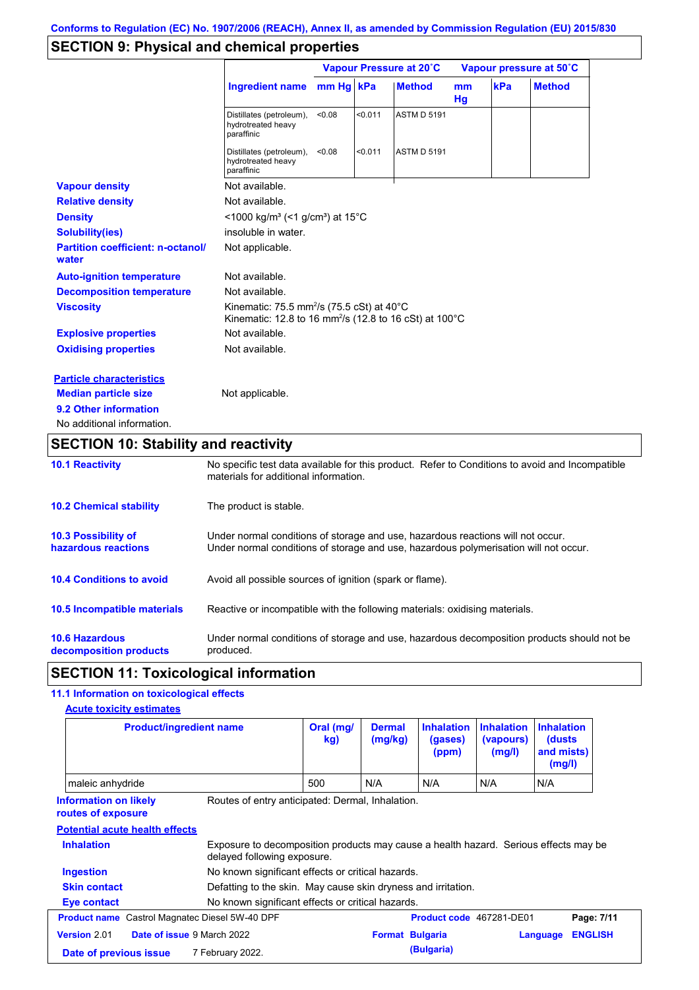## **SECTION 9: Physical and chemical properties**

|                                                   |                                                                                                                                                  | Vapour Pressure at 20°C |         |                    | Vapour pressure at 50°C |     |               |
|---------------------------------------------------|--------------------------------------------------------------------------------------------------------------------------------------------------|-------------------------|---------|--------------------|-------------------------|-----|---------------|
|                                                   | <b>Ingredient name</b>                                                                                                                           | mm Hg kPa               |         | <b>Method</b>      | mm<br>Hg                | kPa | <b>Method</b> |
|                                                   | Distillates (petroleum),<br>hydrotreated heavy<br>paraffinic                                                                                     | < 0.08                  | < 0.011 | <b>ASTM D 5191</b> |                         |     |               |
|                                                   | Distillates (petroleum),<br>hydrotreated heavy<br>paraffinic                                                                                     | < 0.08                  | < 0.011 | <b>ASTM D 5191</b> |                         |     |               |
| <b>Vapour density</b>                             | Not available.                                                                                                                                   |                         |         |                    |                         |     |               |
| <b>Relative density</b>                           | Not available.                                                                                                                                   |                         |         |                    |                         |     |               |
| <b>Density</b>                                    | $<$ 1000 kg/m <sup>3</sup> (<1 g/cm <sup>3</sup> ) at 15 <sup>°</sup> C                                                                          |                         |         |                    |                         |     |               |
| <b>Solubility(ies)</b>                            | insoluble in water.                                                                                                                              |                         |         |                    |                         |     |               |
| <b>Partition coefficient: n-octanol/</b><br>water | Not applicable.                                                                                                                                  |                         |         |                    |                         |     |               |
| <b>Auto-ignition temperature</b>                  | Not available.                                                                                                                                   |                         |         |                    |                         |     |               |
| <b>Decomposition temperature</b>                  | Not available.                                                                                                                                   |                         |         |                    |                         |     |               |
| <b>Viscosity</b>                                  | Kinematic: 75.5 mm <sup>2</sup> /s (75.5 cSt) at $40^{\circ}$ C<br>Kinematic: 12.8 to 16 mm <sup>2</sup> /s (12.8 to 16 cSt) at 100 $^{\circ}$ C |                         |         |                    |                         |     |               |
| <b>Explosive properties</b>                       | Not available.                                                                                                                                   |                         |         |                    |                         |     |               |
| <b>Oxidising properties</b>                       | Not available.                                                                                                                                   |                         |         |                    |                         |     |               |
| <b>Particle characteristics</b>                   |                                                                                                                                                  |                         |         |                    |                         |     |               |
| <b>Median particle size</b>                       | Not applicable.                                                                                                                                  |                         |         |                    |                         |     |               |
| 9.2 Other information                             |                                                                                                                                                  |                         |         |                    |                         |     |               |
| No additional information.                        |                                                                                                                                                  |                         |         |                    |                         |     |               |

# **SECTION 10: Stability and reactivity**

| <b>10.1 Reactivity</b>                            | No specific test data available for this product. Refer to Conditions to avoid and Incompatible<br>materials for additional information.                                |
|---------------------------------------------------|-------------------------------------------------------------------------------------------------------------------------------------------------------------------------|
| <b>10.2 Chemical stability</b>                    | The product is stable.                                                                                                                                                  |
| <b>10.3 Possibility of</b><br>hazardous reactions | Under normal conditions of storage and use, hazardous reactions will not occur.<br>Under normal conditions of storage and use, hazardous polymerisation will not occur. |
| <b>10.4 Conditions to avoid</b>                   | Avoid all possible sources of ignition (spark or flame).                                                                                                                |
| 10.5 Incompatible materials                       | Reactive or incompatible with the following materials: oxidising materials.                                                                                             |
| <b>10.6 Hazardous</b><br>decomposition products   | Under normal conditions of storage and use, hazardous decomposition products should not be<br>produced.                                                                 |

## **SECTION 11: Toxicological information**

### **11.1 Information on toxicological effects**

|                                                       | <b>Product/ingredient name</b>                                                                                      | Oral (mg/<br>kg) | <b>Dermal</b><br>(mg/kg) | <b>Inhalation</b><br>(gases)<br>(ppm) | <b>Inhalation</b><br>(vapours)<br>(mg/l) | <b>Inhalation</b><br>(dusts)<br>and mists)<br>(mg/l) |                |
|-------------------------------------------------------|---------------------------------------------------------------------------------------------------------------------|------------------|--------------------------|---------------------------------------|------------------------------------------|------------------------------------------------------|----------------|
| maleic anhydride                                      |                                                                                                                     | 500              | N/A                      | N/A                                   | N/A                                      | N/A                                                  |                |
| <b>Information on likely</b><br>routes of exposure    | Routes of entry anticipated: Dermal, Inhalation.                                                                    |                  |                          |                                       |                                          |                                                      |                |
| <b>Potential acute health effects</b>                 |                                                                                                                     |                  |                          |                                       |                                          |                                                      |                |
| <b>Inhalation</b>                                     | Exposure to decomposition products may cause a health hazard. Serious effects may be<br>delayed following exposure. |                  |                          |                                       |                                          |                                                      |                |
| <b>Ingestion</b>                                      | No known significant effects or critical hazards.                                                                   |                  |                          |                                       |                                          |                                                      |                |
| <b>Skin contact</b>                                   | Defatting to the skin. May cause skin dryness and irritation.                                                       |                  |                          |                                       |                                          |                                                      |                |
| Eye contact                                           | No known significant effects or critical hazards.                                                                   |                  |                          |                                       |                                          |                                                      |                |
| <b>Product name</b> Castrol Magnatec Diesel 5W-40 DPF |                                                                                                                     |                  |                          | Product code 467281-DE01              |                                          |                                                      | Page: 7/11     |
| Version 2.01                                          | Date of issue 9 March 2022                                                                                          |                  | <b>Format Bulgaria</b>   |                                       |                                          | Language                                             | <b>ENGLISH</b> |
| Date of previous issue                                | 7 February 2022.                                                                                                    |                  |                          | (Bulgaria)                            |                                          |                                                      |                |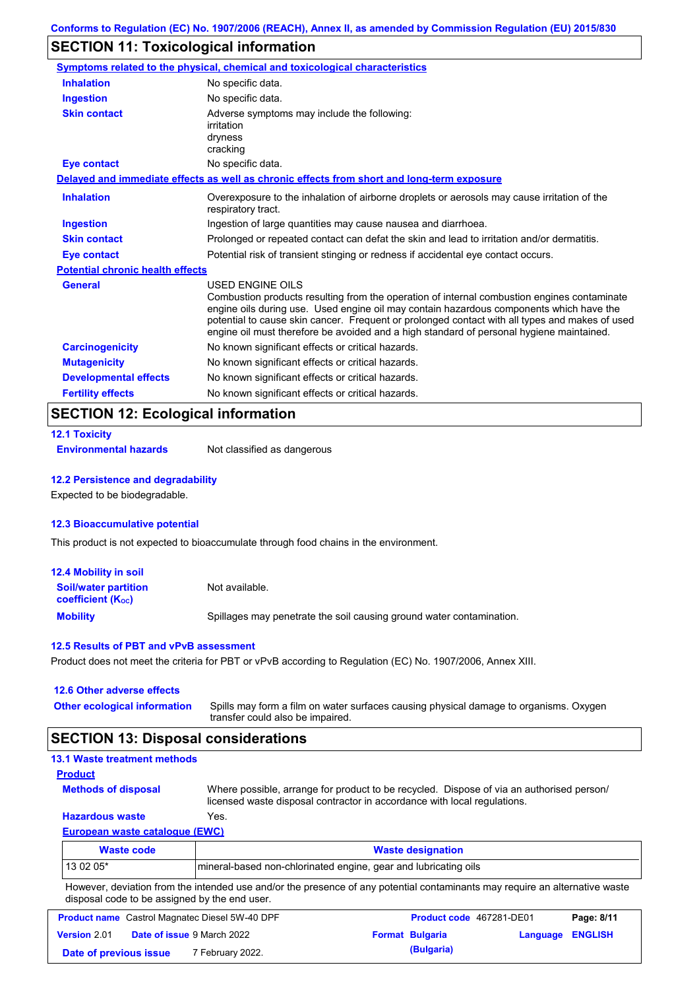## **SECTION 11: Toxicological information**

|                                         | <b>Symptoms related to the physical, chemical and toxicological characteristics</b>                                                                                                                                                                                                                                                                                                                      |
|-----------------------------------------|----------------------------------------------------------------------------------------------------------------------------------------------------------------------------------------------------------------------------------------------------------------------------------------------------------------------------------------------------------------------------------------------------------|
| <b>Inhalation</b>                       | No specific data.                                                                                                                                                                                                                                                                                                                                                                                        |
| <b>Ingestion</b>                        | No specific data.                                                                                                                                                                                                                                                                                                                                                                                        |
| <b>Skin contact</b>                     | Adverse symptoms may include the following:<br>irritation<br>dryness<br>cracking                                                                                                                                                                                                                                                                                                                         |
| <b>Eye contact</b>                      | No specific data.                                                                                                                                                                                                                                                                                                                                                                                        |
|                                         | Delayed and immediate effects as well as chronic effects from short and long-term exposure                                                                                                                                                                                                                                                                                                               |
| <b>Inhalation</b>                       | Overexposure to the inhalation of airborne droplets or aerosols may cause irritation of the<br>respiratory tract.                                                                                                                                                                                                                                                                                        |
| <b>Ingestion</b>                        | Ingestion of large quantities may cause nausea and diarrhoea.                                                                                                                                                                                                                                                                                                                                            |
| <b>Skin contact</b>                     | Prolonged or repeated contact can defat the skin and lead to irritation and/or dermatitis.                                                                                                                                                                                                                                                                                                               |
| <b>Eye contact</b>                      | Potential risk of transient stinging or redness if accidental eye contact occurs.                                                                                                                                                                                                                                                                                                                        |
| <b>Potential chronic health effects</b> |                                                                                                                                                                                                                                                                                                                                                                                                          |
| <b>General</b>                          | USED ENGINE OILS<br>Combustion products resulting from the operation of internal combustion engines contaminate<br>engine oils during use. Used engine oil may contain hazardous components which have the<br>potential to cause skin cancer. Frequent or prolonged contact with all types and makes of used<br>engine oil must therefore be avoided and a high standard of personal hygiene maintained. |
| <b>Carcinogenicity</b>                  | No known significant effects or critical hazards.                                                                                                                                                                                                                                                                                                                                                        |
| <b>Mutagenicity</b>                     | No known significant effects or critical hazards.                                                                                                                                                                                                                                                                                                                                                        |
| <b>Developmental effects</b>            | No known significant effects or critical hazards.                                                                                                                                                                                                                                                                                                                                                        |
| <b>Fertility effects</b>                | No known significant effects or critical hazards.                                                                                                                                                                                                                                                                                                                                                        |

## **SECTION 12: Ecological information**

|  | <b>12.1 Toxicity</b> |  |  |
|--|----------------------|--|--|
|  |                      |  |  |

**Environmental hazards** Not classified as dangerous

#### **12.2 Persistence and degradability**

Expected to be biodegradable.

#### **12.3 Bioaccumulative potential**

This product is not expected to bioaccumulate through food chains in the environment.

| <b>12.4 Mobility in soil</b>                                  |                                                                      |
|---------------------------------------------------------------|----------------------------------------------------------------------|
| <b>Soil/water partition</b><br>coefficient (K <sub>oc</sub> ) | Not available.                                                       |
| <b>Mobility</b>                                               | Spillages may penetrate the soil causing ground water contamination. |

#### **12.5 Results of PBT and vPvB assessment**

Product does not meet the criteria for PBT or vPvB according to Regulation (EC) No. 1907/2006, Annex XIII.

#### **12.6 Other adverse effects Other ecological information**

Spills may form a film on water surfaces causing physical damage to organisms. Oxygen transfer could also be impaired.

#### **SECTION 13: Disposal considerations**

| <b>13.1 Waste treatment methods</b>                                                                                                                                  |
|----------------------------------------------------------------------------------------------------------------------------------------------------------------------|
|                                                                                                                                                                      |
| Where possible, arrange for product to be recycled. Dispose of via an authorised person/<br>licensed waste disposal contractor in accordance with local regulations. |
| Yes.                                                                                                                                                                 |
| <b>European waste catalogue (EWC)</b>                                                                                                                                |
| <b>Waste designation</b>                                                                                                                                             |
|                                                                                                                                                                      |

| Waste code | <b>Waste designation</b>                                         |
|------------|------------------------------------------------------------------|
| 13 02 05*  | Imineral-based non-chlorinated engine, gear and lubricating oils |

However, deviation from the intended use and/or the presence of any potential contaminants may require an alternative waste disposal code to be assigned by the end user.

| <b>Product name</b> Castrol Magnatec Diesel 5W-40 DPF |  |                                   | <b>Product code</b> 467281-DE01 |                        | Page: 8/11       |  |
|-------------------------------------------------------|--|-----------------------------------|---------------------------------|------------------------|------------------|--|
| Version 2.01                                          |  | <b>Date of issue 9 March 2022</b> |                                 | <b>Format Bulgaria</b> | Language ENGLISH |  |
| Date of previous issue                                |  | <sup>7</sup> February 2022.       |                                 | (Bulgaria)             |                  |  |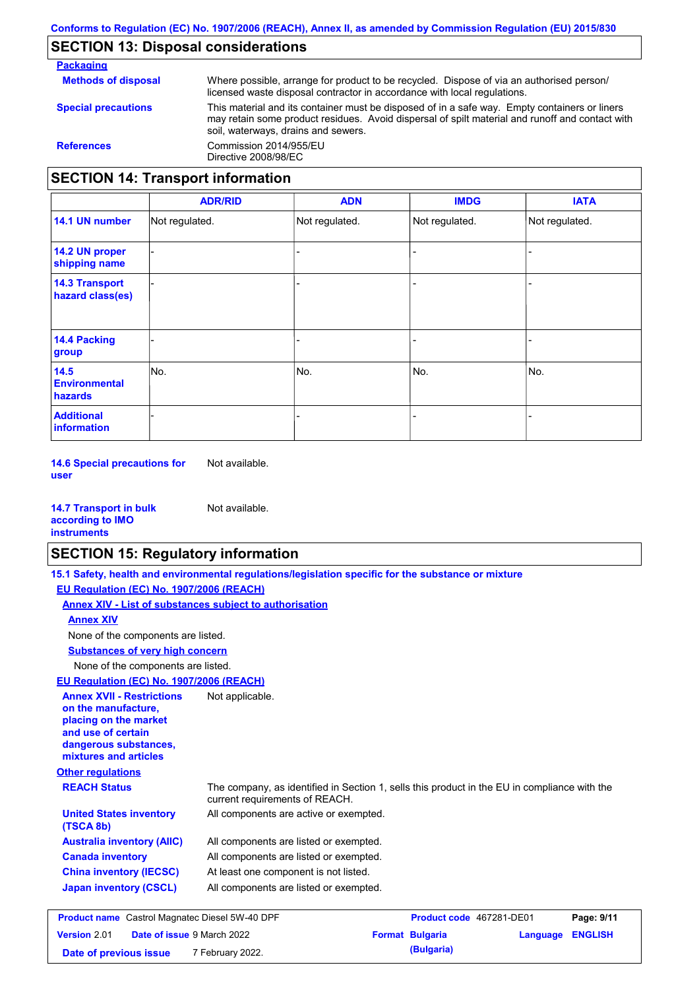### **SECTION 13: Disposal considerations**

**Packaging Methods of disposal Special precautions** Where possible, arrange for product to be recycled. Dispose of via an authorised person/ licensed waste disposal contractor in accordance with local regulations. This material and its container must be disposed of in a safe way. Empty containers or liners may retain some product residues. Avoid dispersal of spilt material and runoff and contact with soil, waterways, drains and sewers. **References** Commission 2014/955/EU Directive 2008/98/EC **SECTION 14: Transport information**

|                                           | <b>ADR/RID</b> | <b>ADN</b>     | <b>IMDG</b>    | <b>IATA</b>    |
|-------------------------------------------|----------------|----------------|----------------|----------------|
| 14.1 UN number                            | Not regulated. | Not regulated. | Not regulated. | Not regulated. |
| 14.2 UN proper<br>shipping name           |                |                | -              |                |
| <b>14.3 Transport</b><br>hazard class(es) |                |                | -              |                |
| <b>14.4 Packing</b><br>group              |                |                | -              |                |
| 14.5<br><b>Environmental</b><br>hazards   | No.            | No.            | No.            | No.            |
| <b>Additional</b><br><b>information</b>   |                |                |                |                |

**14.6 Special precautions for user** Not available.

| <b>14.7 Transport in bulk</b> | Not available. |
|-------------------------------|----------------|
| according to <b>IMO</b>       |                |
| <b>instruments</b>            |                |

### **SECTION 15: Regulatory information**

**Other regulations REACH Status** The company, as identified in Section 1, sells this product in the EU in compliance with the current requirements of REACH. **15.1 Safety, health and environmental regulations/legislation specific for the substance or mixture EU Regulation (EC) No. 1907/2006 (REACH) Annex XIV - List of substances subject to authorisation Substances of very high concern** None of the components are listed. All components are listed or exempted. All components are listed or exempted. At least one component is not listed. All components are listed or exempted. **United States inventory** All components are active or exempted. **(TSCA 8b) Australia inventory (AIIC) Canada inventory China inventory (IECSC) Japan inventory (CSCL)** None of the components are listed. **Annex XIV EU Regulation (EC) No. 1907/2006 (REACH) Annex XVII - Restrictions on the manufacture, placing on the market and use of certain dangerous substances, mixtures and articles** Not applicable. **Product name** Castrol Magnatec Diesel 5W-40 DPF **Product Code 467281-DE01 Page: 9/11 Version** 2.01 **Date of issue** 9 March 2022 **Format Bulgaria Language ENGLISH**

**Date of previous issue** 7 February 2022.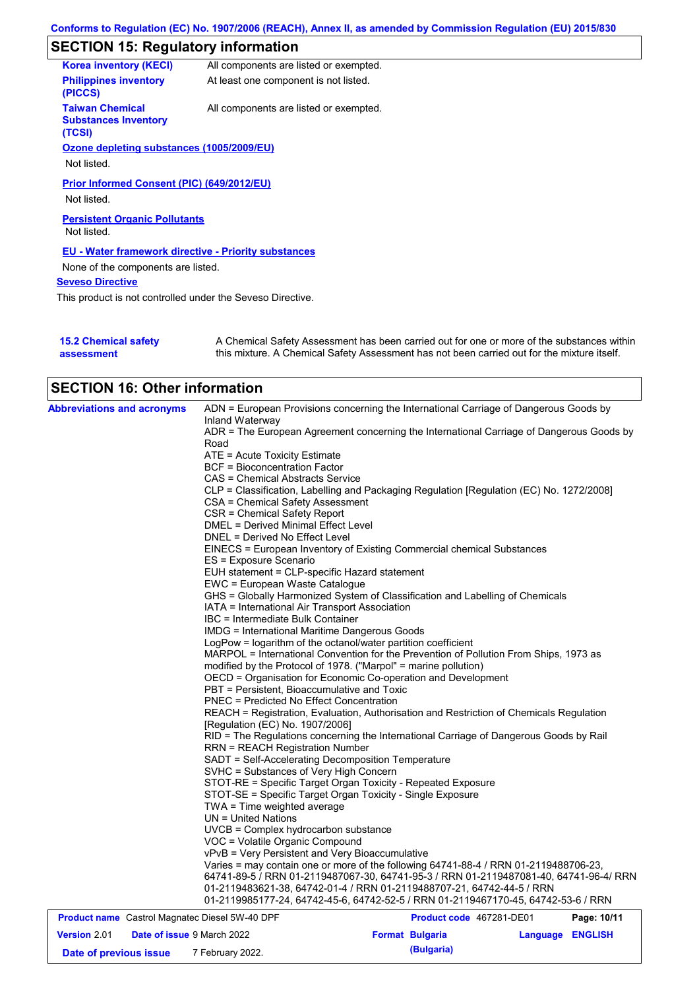# **SECTION 15: Regulatory information**

| <b>Korea inventory (KECI)</b>                                   | All components are listed or exempted. |
|-----------------------------------------------------------------|----------------------------------------|
| <b>Philippines inventory</b><br>(PICCS)                         | At least one component is not listed.  |
| <b>Taiwan Chemical</b><br><b>Substances Inventory</b><br>(TCSI) | All components are listed or exempted. |
| Ozone depleting substances (1005/2009/EU)                       |                                        |
| Not listed.                                                     |                                        |
| <b>Prior Informed Consent (PIC) (649/2012/EU)</b>               |                                        |
| Not listed.                                                     |                                        |
| <b>Persistent Organic Pollutants</b><br>Not listed.             |                                        |
| <b>EU - Water framework directive - Priority substances</b>     |                                        |
| None of the components are listed.                              |                                        |
| <b>Seveso Directive</b>                                         |                                        |
| This product is not controlled under the Seveso Directive.      |                                        |
|                                                                 |                                        |

| <b>15.2 Chemical safety</b> | A Chemical Safety Assessment has been carried out for one or more of the substances within  |
|-----------------------------|---------------------------------------------------------------------------------------------|
| assessment                  | this mixture. A Chemical Safety Assessment has not been carried out for the mixture itself. |

# **SECTION 16: Other information**

| <b>Abbreviations and acronyms</b>                     | ADN = European Provisions concerning the International Carriage of Dangerous Goods by<br>Inland Waterway                     |  |  |  |  |
|-------------------------------------------------------|------------------------------------------------------------------------------------------------------------------------------|--|--|--|--|
|                                                       | ADR = The European Agreement concerning the International Carriage of Dangerous Goods by                                     |  |  |  |  |
|                                                       | Road                                                                                                                         |  |  |  |  |
|                                                       | ATE = Acute Toxicity Estimate                                                                                                |  |  |  |  |
|                                                       | <b>BCF</b> = Bioconcentration Factor                                                                                         |  |  |  |  |
|                                                       | CAS = Chemical Abstracts Service                                                                                             |  |  |  |  |
|                                                       | CLP = Classification, Labelling and Packaging Regulation [Regulation (EC) No. 1272/2008]<br>CSA = Chemical Safety Assessment |  |  |  |  |
|                                                       | CSR = Chemical Safety Report                                                                                                 |  |  |  |  |
|                                                       | DMEL = Derived Minimal Effect Level                                                                                          |  |  |  |  |
|                                                       | DNEL = Derived No Effect Level                                                                                               |  |  |  |  |
|                                                       | EINECS = European Inventory of Existing Commercial chemical Substances                                                       |  |  |  |  |
|                                                       | ES = Exposure Scenario                                                                                                       |  |  |  |  |
|                                                       | EUH statement = CLP-specific Hazard statement                                                                                |  |  |  |  |
|                                                       | EWC = European Waste Catalogue                                                                                               |  |  |  |  |
|                                                       | GHS = Globally Harmonized System of Classification and Labelling of Chemicals                                                |  |  |  |  |
|                                                       | IATA = International Air Transport Association                                                                               |  |  |  |  |
|                                                       | IBC = Intermediate Bulk Container                                                                                            |  |  |  |  |
|                                                       | <b>IMDG = International Maritime Dangerous Goods</b>                                                                         |  |  |  |  |
|                                                       | LogPow = logarithm of the octanol/water partition coefficient                                                                |  |  |  |  |
|                                                       | MARPOL = International Convention for the Prevention of Pollution From Ships, 1973 as                                        |  |  |  |  |
|                                                       | modified by the Protocol of 1978. ("Marpol" = marine pollution)                                                              |  |  |  |  |
|                                                       | OECD = Organisation for Economic Co-operation and Development<br>PBT = Persistent, Bioaccumulative and Toxic                 |  |  |  |  |
|                                                       | <b>PNEC = Predicted No Effect Concentration</b>                                                                              |  |  |  |  |
|                                                       | REACH = Registration, Evaluation, Authorisation and Restriction of Chemicals Regulation                                      |  |  |  |  |
|                                                       | [Regulation (EC) No. 1907/2006]                                                                                              |  |  |  |  |
|                                                       | RID = The Regulations concerning the International Carriage of Dangerous Goods by Rail                                       |  |  |  |  |
|                                                       | <b>RRN = REACH Registration Number</b>                                                                                       |  |  |  |  |
|                                                       | SADT = Self-Accelerating Decomposition Temperature                                                                           |  |  |  |  |
|                                                       | SVHC = Substances of Very High Concern                                                                                       |  |  |  |  |
|                                                       | STOT-RE = Specific Target Organ Toxicity - Repeated Exposure                                                                 |  |  |  |  |
|                                                       | STOT-SE = Specific Target Organ Toxicity - Single Exposure                                                                   |  |  |  |  |
|                                                       | TWA = Time weighted average                                                                                                  |  |  |  |  |
|                                                       | UN = United Nations                                                                                                          |  |  |  |  |
|                                                       | UVCB = Complex hydrocarbon substance                                                                                         |  |  |  |  |
|                                                       | VOC = Volatile Organic Compound                                                                                              |  |  |  |  |
|                                                       | vPvB = Very Persistent and Very Bioaccumulative                                                                              |  |  |  |  |
|                                                       | Varies = may contain one or more of the following 64741-88-4 / RRN 01-2119488706-23,                                         |  |  |  |  |
|                                                       | 64741-89-5 / RRN 01-2119487067-30, 64741-95-3 / RRN 01-2119487081-40, 64741-96-4/ RRN                                        |  |  |  |  |
|                                                       | 01-2119483621-38, 64742-01-4 / RRN 01-2119488707-21, 64742-44-5 / RRN                                                        |  |  |  |  |
|                                                       | 01-2119985177-24, 64742-45-6, 64742-52-5 / RRN 01-2119467170-45, 64742-53-6 / RRN                                            |  |  |  |  |
| <b>Product name</b> Castrol Magnatec Diesel 5W-40 DPF | Page: 10/11<br>Product code 467281-DE01                                                                                      |  |  |  |  |
|                                                       |                                                                                                                              |  |  |  |  |

| <b>Version 2.01</b>    | <b>Date of issue 9 March 2022</b> | <b>Format Bulgaria</b> | Language ENGLISH |  |
|------------------------|-----------------------------------|------------------------|------------------|--|
| Date of previous issue | 7 February 2022.                  | (Bulgaria)             |                  |  |